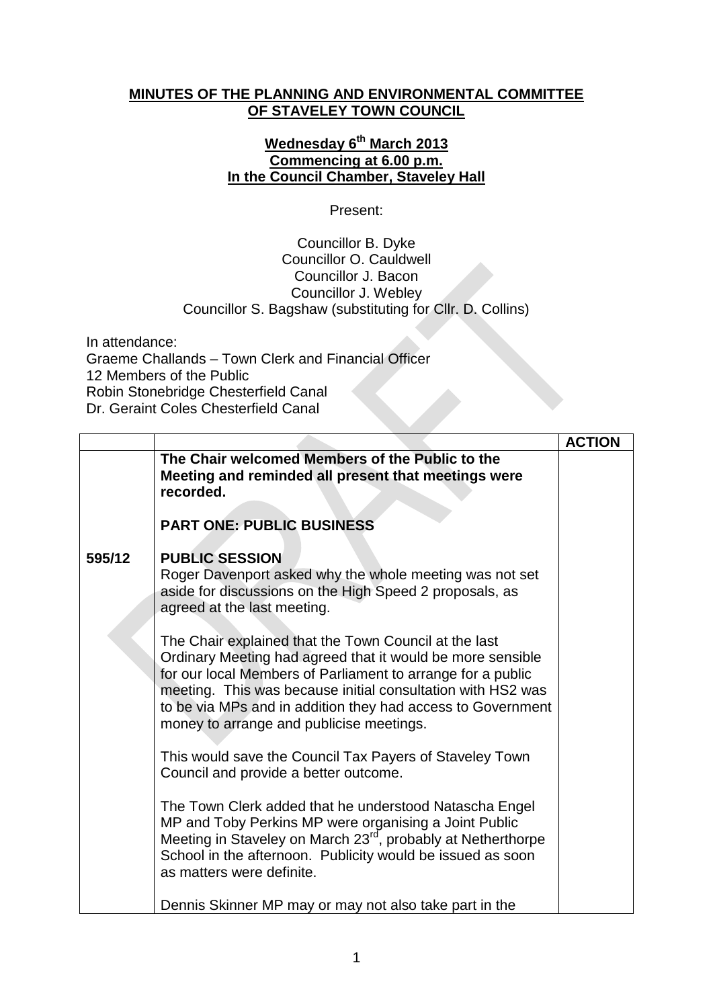## **MINUTES OF THE PLANNING AND ENVIRONMENTAL COMMITTEE OF STAVELEY TOWN COUNCIL**

## **Wednesday 6 th March 2013 Commencing at 6.00 p.m. In the Council Chamber, Staveley Hall**

Present:

## Councillor B. Dyke Councillor O. Cauldwell Councillor J. Bacon Councillor J. Webley Councillor S. Bagshaw (substituting for Cllr. D. Collins)

In attendance: Graeme Challands – Town Clerk and Financial Officer 12 Members of the Public Robin Stonebridge Chesterfield Canal Dr. Geraint Coles Chesterfield Canal

|        |                                                                                                                                                                                                                                                                                                                                                              | <b>ACTION</b> |
|--------|--------------------------------------------------------------------------------------------------------------------------------------------------------------------------------------------------------------------------------------------------------------------------------------------------------------------------------------------------------------|---------------|
|        | The Chair welcomed Members of the Public to the<br>Meeting and reminded all present that meetings were<br>recorded.                                                                                                                                                                                                                                          |               |
|        | <b>PART ONE: PUBLIC BUSINESS</b>                                                                                                                                                                                                                                                                                                                             |               |
| 595/12 | <b>PUBLIC SESSION</b><br>Roger Davenport asked why the whole meeting was not set<br>aside for discussions on the High Speed 2 proposals, as<br>agreed at the last meeting.                                                                                                                                                                                   |               |
|        | The Chair explained that the Town Council at the last<br>Ordinary Meeting had agreed that it would be more sensible<br>for our local Members of Parliament to arrange for a public<br>meeting. This was because initial consultation with HS2 was<br>to be via MPs and in addition they had access to Government<br>money to arrange and publicise meetings. |               |
|        | This would save the Council Tax Payers of Staveley Town<br>Council and provide a better outcome.                                                                                                                                                                                                                                                             |               |
|        | The Town Clerk added that he understood Natascha Engel<br>MP and Toby Perkins MP were organising a Joint Public<br>Meeting in Staveley on March 23 <sup>rd</sup> , probably at Netherthorpe<br>School in the afternoon. Publicity would be issued as soon<br>as matters were definite.                                                                       |               |
|        | Dennis Skinner MP may or may not also take part in the                                                                                                                                                                                                                                                                                                       |               |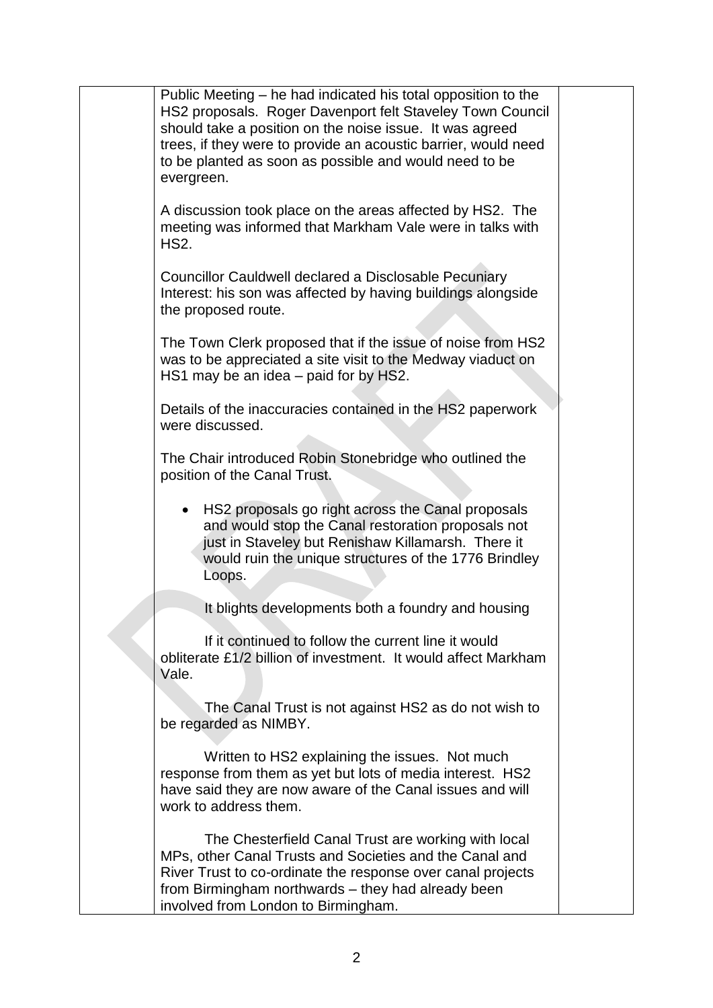| Public Meeting – he had indicated his total opposition to the<br>HS2 proposals. Roger Davenport felt Staveley Town Council<br>should take a position on the noise issue. It was agreed<br>trees, if they were to provide an acoustic barrier, would need<br>to be planted as soon as possible and would need to be<br>evergreen. |  |
|----------------------------------------------------------------------------------------------------------------------------------------------------------------------------------------------------------------------------------------------------------------------------------------------------------------------------------|--|
| A discussion took place on the areas affected by HS2. The<br>meeting was informed that Markham Vale were in talks with<br><b>HS2.</b>                                                                                                                                                                                            |  |
| <b>Councillor Cauldwell declared a Disclosable Pecuniary</b><br>Interest: his son was affected by having buildings alongside<br>the proposed route.                                                                                                                                                                              |  |
| The Town Clerk proposed that if the issue of noise from HS2<br>was to be appreciated a site visit to the Medway viaduct on<br>HS1 may be an idea – paid for by HS2.                                                                                                                                                              |  |
| Details of the inaccuracies contained in the HS2 paperwork<br>were discussed.                                                                                                                                                                                                                                                    |  |
| The Chair introduced Robin Stonebridge who outlined the<br>position of the Canal Trust.                                                                                                                                                                                                                                          |  |
| HS2 proposals go right across the Canal proposals<br>and would stop the Canal restoration proposals not<br>just in Staveley but Renishaw Killamarsh. There it<br>would ruin the unique structures of the 1776 Brindley<br>Loops.                                                                                                 |  |
| It blights developments both a foundry and housing                                                                                                                                                                                                                                                                               |  |
| If it continued to follow the current line it would<br>obliterate £1/2 billion of investment. It would affect Markham<br>Vale.                                                                                                                                                                                                   |  |
| The Canal Trust is not against HS2 as do not wish to<br>be regarded as NIMBY.                                                                                                                                                                                                                                                    |  |
| Written to HS2 explaining the issues. Not much<br>response from them as yet but lots of media interest. HS2<br>have said they are now aware of the Canal issues and will<br>work to address them.                                                                                                                                |  |
| The Chesterfield Canal Trust are working with local<br>MPs, other Canal Trusts and Societies and the Canal and<br>River Trust to co-ordinate the response over canal projects<br>from Birmingham northwards – they had already been<br>involved from London to Birmingham.                                                       |  |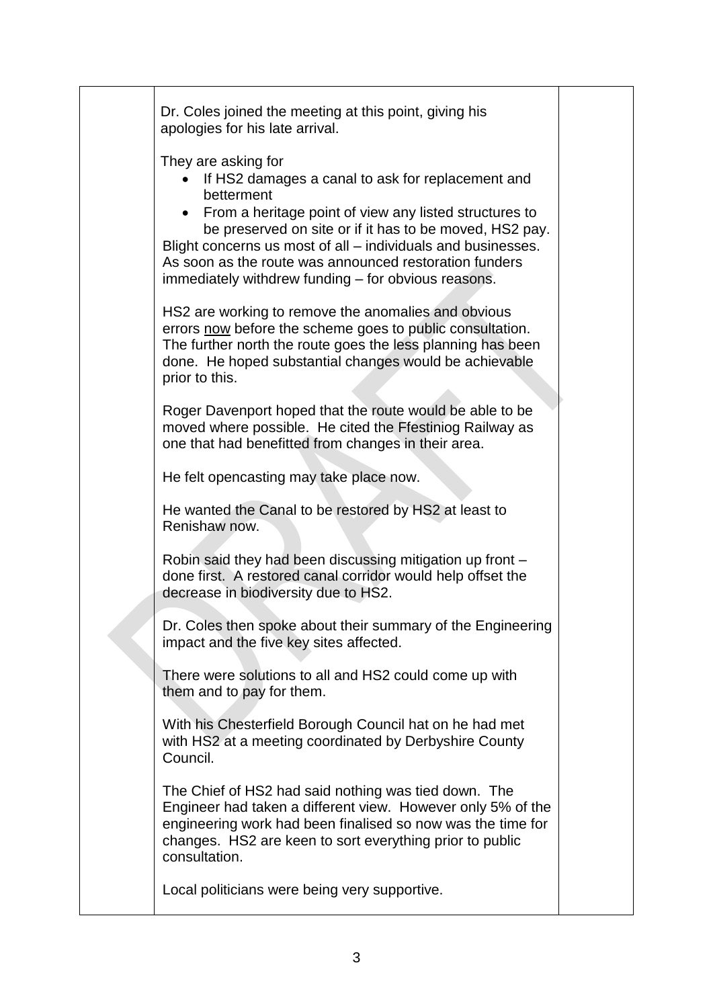|  | Dr. Coles joined the meeting at this point, giving his<br>apologies for his late arrival.                                                                                                                                                                                                                                                                                                      |  |
|--|------------------------------------------------------------------------------------------------------------------------------------------------------------------------------------------------------------------------------------------------------------------------------------------------------------------------------------------------------------------------------------------------|--|
|  | They are asking for<br>If HS2 damages a canal to ask for replacement and<br>betterment<br>• From a heritage point of view any listed structures to<br>be preserved on site or if it has to be moved, HS2 pay.<br>Blight concerns us most of all – individuals and businesses.<br>As soon as the route was announced restoration funders<br>immediately withdrew funding – for obvious reasons. |  |
|  | HS2 are working to remove the anomalies and obvious<br>errors now before the scheme goes to public consultation.<br>The further north the route goes the less planning has been<br>done. He hoped substantial changes would be achievable<br>prior to this.                                                                                                                                    |  |
|  | Roger Davenport hoped that the route would be able to be<br>moved where possible. He cited the Ffestiniog Railway as<br>one that had benefitted from changes in their area.                                                                                                                                                                                                                    |  |
|  | He felt opencasting may take place now.                                                                                                                                                                                                                                                                                                                                                        |  |
|  | He wanted the Canal to be restored by HS2 at least to<br>Renishaw now.                                                                                                                                                                                                                                                                                                                         |  |
|  | Robin said they had been discussing mitigation up front -<br>done first. A restored canal corridor would help offset the<br>decrease in biodiversity due to HS2.                                                                                                                                                                                                                               |  |
|  | Dr. Coles then spoke about their summary of the Engineering<br>impact and the five key sites affected.                                                                                                                                                                                                                                                                                         |  |
|  | There were solutions to all and HS2 could come up with<br>them and to pay for them.                                                                                                                                                                                                                                                                                                            |  |
|  | With his Chesterfield Borough Council hat on he had met<br>with HS2 at a meeting coordinated by Derbyshire County<br>Council.                                                                                                                                                                                                                                                                  |  |
|  | The Chief of HS2 had said nothing was tied down. The<br>Engineer had taken a different view. However only 5% of the<br>engineering work had been finalised so now was the time for<br>changes. HS2 are keen to sort everything prior to public<br>consultation.                                                                                                                                |  |
|  | Local politicians were being very supportive.                                                                                                                                                                                                                                                                                                                                                  |  |
|  |                                                                                                                                                                                                                                                                                                                                                                                                |  |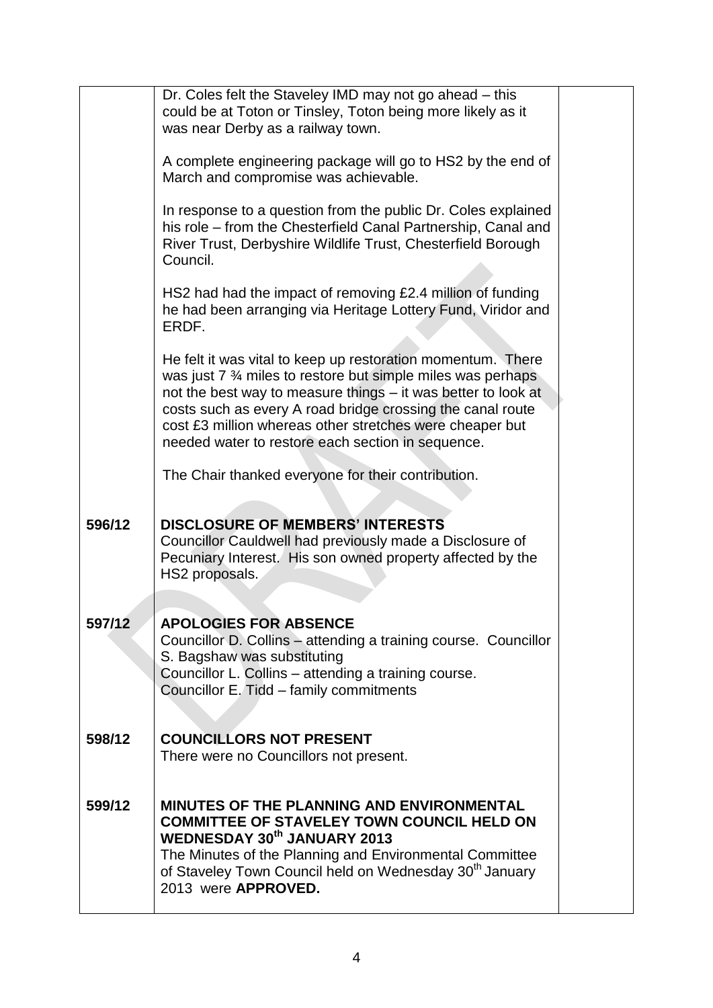|        | Dr. Coles felt the Staveley IMD may not go ahead - this<br>could be at Toton or Tinsley, Toton being more likely as it<br>was near Derby as a railway town.                                                                                                                                                                                                                                         |  |
|--------|-----------------------------------------------------------------------------------------------------------------------------------------------------------------------------------------------------------------------------------------------------------------------------------------------------------------------------------------------------------------------------------------------------|--|
|        | A complete engineering package will go to HS2 by the end of<br>March and compromise was achievable.                                                                                                                                                                                                                                                                                                 |  |
|        | In response to a question from the public Dr. Coles explained<br>his role - from the Chesterfield Canal Partnership, Canal and<br>River Trust, Derbyshire Wildlife Trust, Chesterfield Borough<br>Council.                                                                                                                                                                                          |  |
|        | HS2 had had the impact of removing £2.4 million of funding<br>he had been arranging via Heritage Lottery Fund, Viridor and<br>ERDF.                                                                                                                                                                                                                                                                 |  |
|        | He felt it was vital to keep up restoration momentum. There<br>was just 7 <sup>3</sup> / <sub>4</sub> miles to restore but simple miles was perhaps<br>not the best way to measure things - it was better to look at<br>costs such as every A road bridge crossing the canal route<br>cost £3 million whereas other stretches were cheaper but<br>needed water to restore each section in sequence. |  |
|        | The Chair thanked everyone for their contribution.                                                                                                                                                                                                                                                                                                                                                  |  |
| 596/12 | <b>DISCLOSURE OF MEMBERS' INTERESTS</b><br>Councillor Cauldwell had previously made a Disclosure of<br>Pecuniary Interest. His son owned property affected by the<br>HS2 proposals.                                                                                                                                                                                                                 |  |
| 597/12 | <b>APOLOGIES FOR ABSENCE</b><br>Councillor D. Collins – attending a training course. Councillor<br>S. Bagshaw was substituting<br>Councillor L. Collins - attending a training course.<br>Councillor E. Tidd - family commitments                                                                                                                                                                   |  |
| 598/12 | <b>COUNCILLORS NOT PRESENT</b><br>There were no Councillors not present.                                                                                                                                                                                                                                                                                                                            |  |
| 599/12 | <b>MINUTES OF THE PLANNING AND ENVIRONMENTAL</b><br><b>COMMITTEE OF STAVELEY TOWN COUNCIL HELD ON</b><br><b>WEDNESDAY 30th JANUARY 2013</b><br>The Minutes of the Planning and Environmental Committee<br>of Staveley Town Council held on Wednesday 30 <sup>th</sup> January<br>2013 were APPROVED.                                                                                                |  |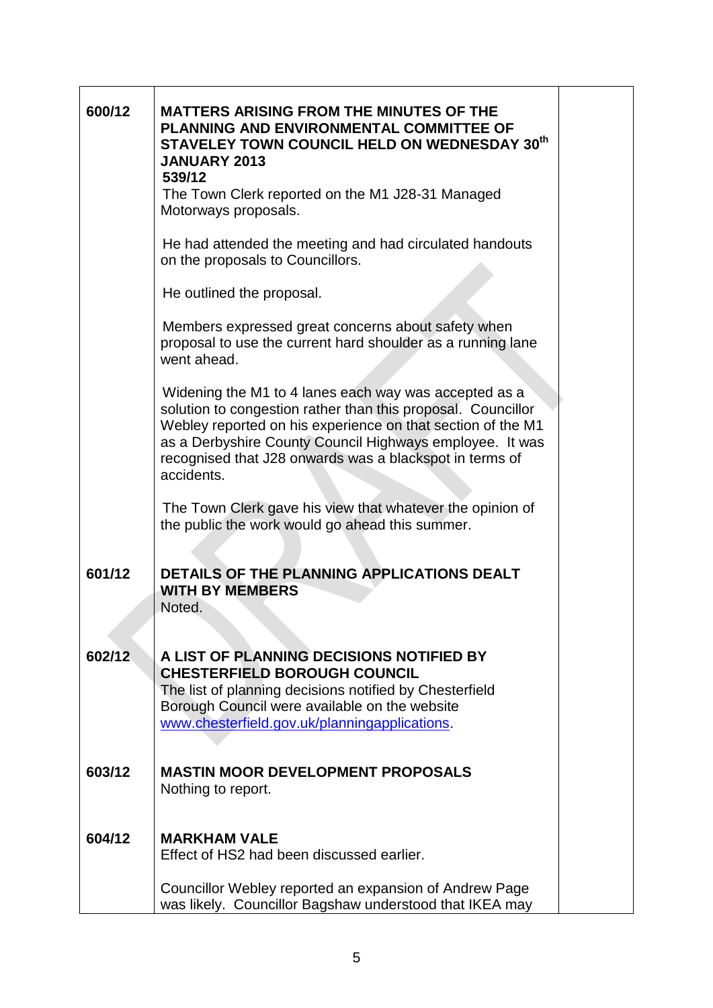| 600/12 | <b>MATTERS ARISING FROM THE MINUTES OF THE</b><br><b>PLANNING AND ENVIRONMENTAL COMMITTEE OF</b><br>STAVELEY TOWN COUNCIL HELD ON WEDNESDAY 30th<br><b>JANUARY 2013</b><br>539/12<br>The Town Clerk reported on the M1 J28-31 Managed<br>Motorways proposals.                                                             |  |
|--------|---------------------------------------------------------------------------------------------------------------------------------------------------------------------------------------------------------------------------------------------------------------------------------------------------------------------------|--|
|        | He had attended the meeting and had circulated handouts<br>on the proposals to Councillors.                                                                                                                                                                                                                               |  |
|        | He outlined the proposal.                                                                                                                                                                                                                                                                                                 |  |
|        | Members expressed great concerns about safety when<br>proposal to use the current hard shoulder as a running lane<br>went ahead.                                                                                                                                                                                          |  |
|        | Widening the M1 to 4 lanes each way was accepted as a<br>solution to congestion rather than this proposal. Councillor<br>Webley reported on his experience on that section of the M1<br>as a Derbyshire County Council Highways employee. It was<br>recognised that J28 onwards was a blackspot in terms of<br>accidents. |  |
|        | The Town Clerk gave his view that whatever the opinion of<br>the public the work would go ahead this summer.                                                                                                                                                                                                              |  |
| 601/12 | DETAILS OF THE PLANNING APPLICATIONS DEALT                                                                                                                                                                                                                                                                                |  |
|        | <b>WITH BY MEMBERS</b><br>Noted.                                                                                                                                                                                                                                                                                          |  |
|        |                                                                                                                                                                                                                                                                                                                           |  |
| 602/12 | A LIST OF PLANNING DECISIONS NOTIFIED BY<br><b>CHESTERFIELD BOROUGH COUNCIL</b>                                                                                                                                                                                                                                           |  |
|        | The list of planning decisions notified by Chesterfield                                                                                                                                                                                                                                                                   |  |
|        | Borough Council were available on the website<br>www.chesterfield.gov.uk/planningapplications.                                                                                                                                                                                                                            |  |
|        |                                                                                                                                                                                                                                                                                                                           |  |
| 603/12 | <b>MASTIN MOOR DEVELOPMENT PROPOSALS</b>                                                                                                                                                                                                                                                                                  |  |
|        | Nothing to report.                                                                                                                                                                                                                                                                                                        |  |
| 604/12 | <b>MARKHAM VALE</b><br>Effect of HS2 had been discussed earlier.                                                                                                                                                                                                                                                          |  |
|        | Councillor Webley reported an expansion of Andrew Page<br>was likely. Councillor Bagshaw understood that IKEA may                                                                                                                                                                                                         |  |

 $\mathbf{r}$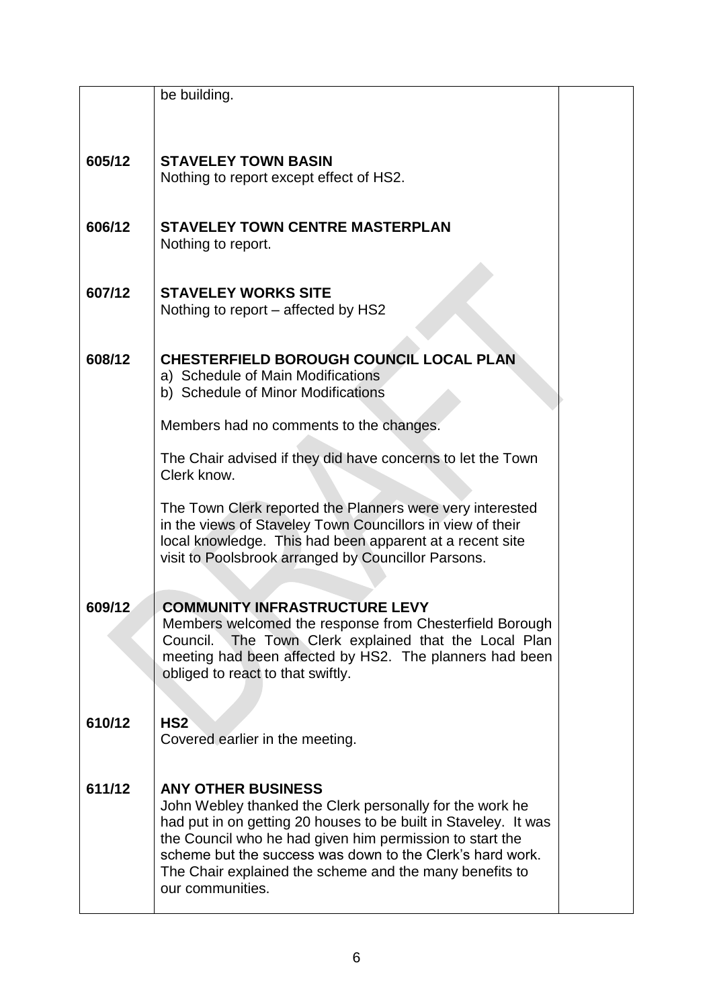| Clerk know.                                                |                                                                                                                                                                                                                                                                                                                                                                                                                                                                                                                                                                                                                                                                                                                                                                                                                                                                                                                                                           |
|------------------------------------------------------------|-----------------------------------------------------------------------------------------------------------------------------------------------------------------------------------------------------------------------------------------------------------------------------------------------------------------------------------------------------------------------------------------------------------------------------------------------------------------------------------------------------------------------------------------------------------------------------------------------------------------------------------------------------------------------------------------------------------------------------------------------------------------------------------------------------------------------------------------------------------------------------------------------------------------------------------------------------------|
|                                                            |                                                                                                                                                                                                                                                                                                                                                                                                                                                                                                                                                                                                                                                                                                                                                                                                                                                                                                                                                           |
| in the views of Staveley Town Councillors in view of their |                                                                                                                                                                                                                                                                                                                                                                                                                                                                                                                                                                                                                                                                                                                                                                                                                                                                                                                                                           |
| local knowledge. This had been apparent at a recent site   |                                                                                                                                                                                                                                                                                                                                                                                                                                                                                                                                                                                                                                                                                                                                                                                                                                                                                                                                                           |
|                                                            |                                                                                                                                                                                                                                                                                                                                                                                                                                                                                                                                                                                                                                                                                                                                                                                                                                                                                                                                                           |
|                                                            |                                                                                                                                                                                                                                                                                                                                                                                                                                                                                                                                                                                                                                                                                                                                                                                                                                                                                                                                                           |
| <b>COMMUNITY INFRASTRUCTURE LEVY</b>                       |                                                                                                                                                                                                                                                                                                                                                                                                                                                                                                                                                                                                                                                                                                                                                                                                                                                                                                                                                           |
|                                                            |                                                                                                                                                                                                                                                                                                                                                                                                                                                                                                                                                                                                                                                                                                                                                                                                                                                                                                                                                           |
|                                                            |                                                                                                                                                                                                                                                                                                                                                                                                                                                                                                                                                                                                                                                                                                                                                                                                                                                                                                                                                           |
| obliged to react to that swiftly.                          |                                                                                                                                                                                                                                                                                                                                                                                                                                                                                                                                                                                                                                                                                                                                                                                                                                                                                                                                                           |
|                                                            |                                                                                                                                                                                                                                                                                                                                                                                                                                                                                                                                                                                                                                                                                                                                                                                                                                                                                                                                                           |
| HS2                                                        |                                                                                                                                                                                                                                                                                                                                                                                                                                                                                                                                                                                                                                                                                                                                                                                                                                                                                                                                                           |
| Covered earlier in the meeting.                            |                                                                                                                                                                                                                                                                                                                                                                                                                                                                                                                                                                                                                                                                                                                                                                                                                                                                                                                                                           |
|                                                            |                                                                                                                                                                                                                                                                                                                                                                                                                                                                                                                                                                                                                                                                                                                                                                                                                                                                                                                                                           |
| <b>ANY OTHER BUSINESS</b>                                  |                                                                                                                                                                                                                                                                                                                                                                                                                                                                                                                                                                                                                                                                                                                                                                                                                                                                                                                                                           |
| John Webley thanked the Clerk personally for the work he   |                                                                                                                                                                                                                                                                                                                                                                                                                                                                                                                                                                                                                                                                                                                                                                                                                                                                                                                                                           |
|                                                            |                                                                                                                                                                                                                                                                                                                                                                                                                                                                                                                                                                                                                                                                                                                                                                                                                                                                                                                                                           |
|                                                            |                                                                                                                                                                                                                                                                                                                                                                                                                                                                                                                                                                                                                                                                                                                                                                                                                                                                                                                                                           |
| The Chair explained the scheme and the many benefits to    |                                                                                                                                                                                                                                                                                                                                                                                                                                                                                                                                                                                                                                                                                                                                                                                                                                                                                                                                                           |
| our communities.                                           |                                                                                                                                                                                                                                                                                                                                                                                                                                                                                                                                                                                                                                                                                                                                                                                                                                                                                                                                                           |
|                                                            | be building.<br><b>STAVELEY TOWN BASIN</b><br>Nothing to report except effect of HS2.<br><b>STAVELEY TOWN CENTRE MASTERPLAN</b><br>Nothing to report.<br><b>STAVELEY WORKS SITE</b><br>Nothing to report – affected by HS2<br>CHESTERFIELD BOROUGH COUNCIL LOCAL PLAN<br>a) Schedule of Main Modifications<br>b) Schedule of Minor Modifications<br>Members had no comments to the changes.<br>The Chair advised if they did have concerns to let the Town<br>The Town Clerk reported the Planners were very interested<br>visit to Poolsbrook arranged by Councillor Parsons.<br>Members welcomed the response from Chesterfield Borough<br>Council. The Town Clerk explained that the Local Plan<br>meeting had been affected by HS2. The planners had been<br>had put in on getting 20 houses to be built in Staveley. It was<br>the Council who he had given him permission to start the<br>scheme but the success was down to the Clerk's hard work. |